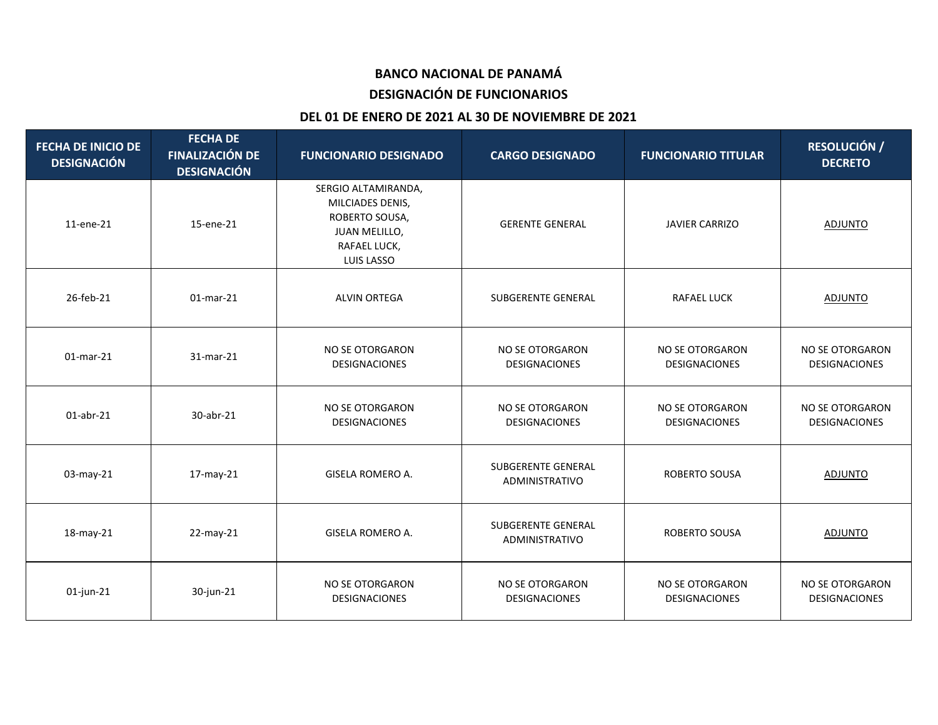## **BANCO NACIONAL DE PANAMÁ**

### **DESIGNACIÓN DE FUNCIONARIOS**

#### **DEL 01 DE ENERO DE 2021 AL 30 DE NOVIEMBRE DE 2021**

| <b>FECHA DE INICIO DE</b><br><b>DESIGNACIÓN</b> | <b>FECHA DE</b><br><b>FINALIZACIÓN DE</b><br><b>DESIGNACIÓN</b> | <b>FUNCIONARIO DESIGNADO</b>                                                                             | <b>CARGO DESIGNADO</b>                         | <b>FUNCIONARIO TITULAR</b>                     | <b>RESOLUCIÓN /</b><br><b>DECRETO</b>          |
|-------------------------------------------------|-----------------------------------------------------------------|----------------------------------------------------------------------------------------------------------|------------------------------------------------|------------------------------------------------|------------------------------------------------|
| 11-ene-21                                       | 15-ene-21                                                       | SERGIO ALTAMIRANDA,<br>MILCIADES DENIS,<br>ROBERTO SOUSA,<br>JUAN MELILLO,<br>RAFAEL LUCK,<br>LUIS LASSO | <b>GERENTE GENERAL</b>                         | <b>JAVIER CARRIZO</b>                          | <b>ADJUNTO</b>                                 |
| 26-feb-21                                       | $01$ -mar-21                                                    | <b>ALVIN ORTEGA</b>                                                                                      | SUBGERENTE GENERAL                             | <b>RAFAEL LUCK</b>                             | <b>ADJUNTO</b>                                 |
| $01$ -mar-21                                    | 31-mar-21                                                       | NO SE OTORGARON<br><b>DESIGNACIONES</b>                                                                  | NO SE OTORGARON<br><b>DESIGNACIONES</b>        | NO SE OTORGARON<br><b>DESIGNACIONES</b>        | NO SE OTORGARON<br>DESIGNACIONES               |
| $01$ -abr-21                                    | 30-abr-21                                                       | NO SE OTORGARON<br><b>DESIGNACIONES</b>                                                                  | NO SE OTORGARON<br><b>DESIGNACIONES</b>        | NO SE OTORGARON<br><b>DESIGNACIONES</b>        | NO SE OTORGARON<br><b>DESIGNACIONES</b>        |
| 03-may-21                                       | 17-may-21                                                       | <b>GISELA ROMERO A.</b>                                                                                  | SUBGERENTE GENERAL<br>ADMINISTRATIVO           | ROBERTO SOUSA                                  | <b>ADJUNTO</b>                                 |
| 18-may-21                                       | 22-may-21                                                       | <b>GISELA ROMERO A.</b>                                                                                  | <b>SUBGERENTE GENERAL</b><br>ADMINISTRATIVO    | <b>ROBERTO SOUSA</b>                           | <b>ADJUNTO</b>                                 |
| $01$ -jun-21                                    | 30-jun-21                                                       | NO SE OTORGARON<br><b>DESIGNACIONES</b>                                                                  | <b>NO SE OTORGARON</b><br><b>DESIGNACIONES</b> | <b>NO SE OTORGARON</b><br><b>DESIGNACIONES</b> | <b>NO SE OTORGARON</b><br><b>DESIGNACIONES</b> |